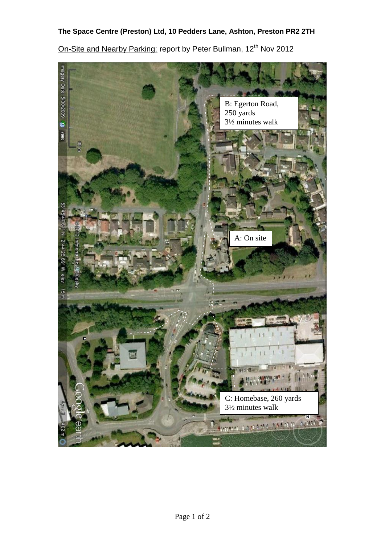## **The Space Centre (Preston) Ltd, 10 Pedders Lane, Ashton, Preston PR2 2TH**

On-Site and Nearby Parking: report by Peter Bullman, 12<sup>th</sup> Nov 2012